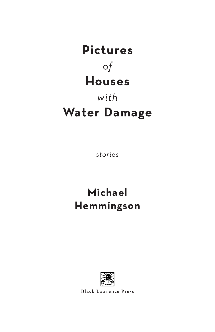## **Pictures** *of* **Houses** *with* **Water Damage**

*stories*

## **Michael Hemmingson**



**Black Lawrence Press**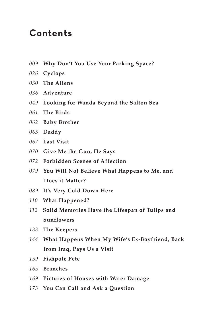## Contents

- 009 Why Don't You Use Your Parking Space?
- 026 Cyclops
- $030$  The Aliens
- 036 Adventure
- 049 Looking for Wanda Beyond the Salton Sea
- 061 The Birds
- 062 Baby Brother
- 065 Daddy
- 067 Last Visit
- 070 Give Me the Gun, He Says
- 072 Forbidden Scenes of Affection
- 079 You Will Not Believe What Happens to Me, and Does it Matter?
- 089 It's Very Cold Down Here
- 110 What Happened?
- 112 Solid Memories Have the Lifespan of Tulips and **Sunflowers**
- 133 The Keepers
- 144 What Happens When My Wife's Ex-Boyfriend, Back from Iraq, Pays Us a Visit
- 159 Fishpole Pete
- 165 Branches
- 169 Pictures of Houses with Water Damage
- 173 You Can Call and Ask a Question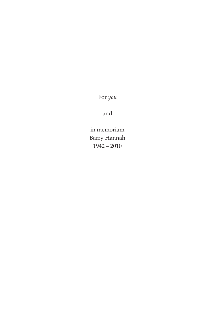For you

and

in memoriam Barry Hannah  $1942 - 2010$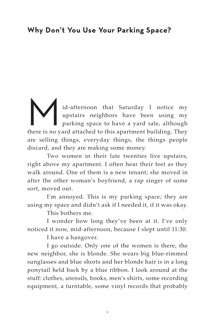id-afternoon that Saturday I notice my<br>upstairs neighbors have been using my<br>parking space to have a yard sale, although there is no yard attached to this apartment building. They are selling things, everyday things, the things people discard, and they are making some money.

Two women in their late twenties live upstairs, right above my apartment. I often hear their feet as they walk around. One of them is a new tenant; she moved in after the other woman's boyfriend, a rap singer of some sort, moved out.

I'm annoyed. This is my parking space; they are using my space and didn't ask if I needed it, if it was okay.

This bothers me

I wonder how long they've been at it. I've only noticed it now, mid-afternoon, because I slept until 11:30.

I have a hangover.

I go outside. Only one of the women is there, the new neighbor, she is blonde. She wears big blue-rimmed sunglasses and blue shorts and her blonde hair is in a long ponytail held back by a blue ribbon. I look around at the stuff: clothes, utensils, books, men's shirts, some recording equipment, a turntable, some vinyl records that probably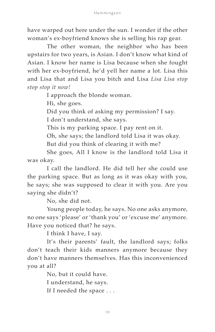have warped out here under the sun. I wonder if the other woman's ex-boyfriend knows she is selling his rap gear.

The other woman, the neighbor who has been upstairs for two years, is Asian. I don't know what kind of Asian. I know her name is Lisa because when she fought with her ex-boyfriend, he'd yell her name a lot. Lisa this and Lisa that and Lisa you bitch and Lisa Lisa Lisa stop stop stop it now!

I approach the blonde woman.

Hi, she goes.

Did you think of asking my permission? I say.

I don't understand, she says.

This is my parking space. I pay rent on it.

Oh, she says; the landlord told Lisa it was okay.

But did you think of clearing it with me?

She goes, All I know is the landlord told Lisa it was okay.

I call the landlord. He did tell her she could use the parking space. But as long as it was okay with you, he says; she was supposed to clear it with you. Are you saying she didn't?

No, she did not.

Young people today, he says. No one asks anymore, no one says 'please' or 'thank you' or 'excuse me' anymore. Have you noticed that? he says.

I think I have, I say.

It's their parents' fault, the landlord says; folks don't teach their kids manners anymore because they don't have manners themselves. Has this inconvenienced you at all?

> No, but it could have. I understand, he says. If I needed the space . . .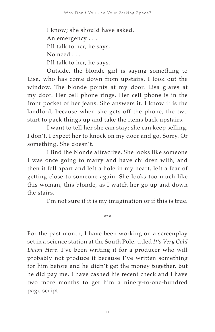I know; she should have asked. An emergency . . . I'll talk to her, he says. No need  $\ldots$ I'll talk to her, he says.

Outside, the blonde girl is saying something to Lisa, who has come down from upstairs. I look out the window. The blonde points at my door. Lisa glares at my door. Her cell phone rings. Her cell phone is in the front pocket of her jeans. She answers it. I know it is the landlord, because when she gets off the phone, the two start to pack things up and take the items back upstairs.

I want to tell her she can stay; she can keep selling. I don't. I expect her to knock on my door and go, Sorry. Or something. She doesn't.

I find the blonde attractive. She looks like someone I was once going to marry and have children with, and then it fell apart and left a hole in my heart, left a fear of getting close to someone again. She looks too much like this woman, this blonde, as I watch her go up and down the stairs.

\*\*\*

I'm not sure if it is my imagination or if this is true.

For the past month, I have been working on a screenplay set in a science station at the South Pole, titled It's Very Cold Down Here. I've been writing it for a producer who will probably not produce it because I've written something for him before and he didn't get the money together, but he did pay me. I have cashed his recent check and I have two more months to get him a ninety-to-one-hundred page script.

 $\overline{11}$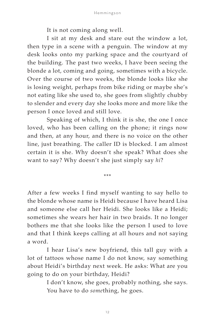It is not coming along well.

I sit at my desk and stare out the window a lot, then type in a scene with a penguin. The window at my desk looks onto my parking space and the courtyard of the building. The past two weeks, I have been seeing the blonde a lot, coming and going, sometimes with a bicycle. Over the course of two weeks, the blonde looks like she is losing weight, perhaps from bike riding or maybe she's not eating like she used to, she goes from slightly chubby to slender and every day she looks more and more like the person I once loved and still love.

Speaking of which, I think it is she, the one I once loved, who has been calling on the phone; it rings now and then, at any hour, and there is no voice on the other line, just breathing. The caller ID is blocked. I am almost certain it is she. Why doesn't she speak? What does she want to say? Why doesn't she just simply say hi?

 $***$ 

After a few weeks I find myself wanting to say hello to the blonde whose name is Heidi because I have heard Lisa and someone else call her Heidi. She looks like a Heidi; sometimes she wears her hair in two braids. It no longer bothers me that she looks like the person I used to love and that I think keeps calling at all hours and not saying a word.

I hear Lisa's new boyfriend, this tall guy with a lot of tattoos whose name I do not know, say something about Heidi's birthday next week. He asks: What are you going to do on your birthday, Heidi?

> I don't know, she goes, probably nothing, she says. You have to do something, he goes.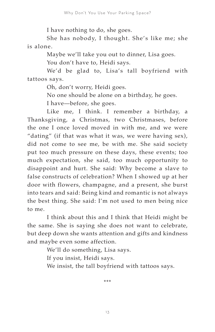I have nothing to do, she goes.

She has nobody, I thought. She's like me; she is alone.

Maybe we'll take you out to dinner, Lisa goes.

You don't have to, Heidi says.

We'd be glad to, Lisa's tall boyfriend with tattoos says.

Oh, don't worry, Heidi goes.

No one should be alone on a birthday, he goes.

I have—before, she goes.

Like me, I think. I remember a birthday, a Thanksgiving, a Christmas, two Christmases, before the one I once loved moved in with me, and we were "dating" (if that was what it was, we were having sex), did not come to see me, be with me. She said society put too much pressure on these days, these events; too much expectation, she said, too much opportunity to disappoint and hurt. She said: Why become a slave to false constructs of celebration? When I showed up at her door with flowers, champagne, and a present, she burst into tears and said: Being kind and romantic is not always the best thing. She said: I'm not used to men being nice to me.

I think about this and I think that Heidi might be the same. She is saying she does not want to celebrate, but deep down she wants attention and gifts and kindness and maybe even some affection.

We'll do something, Lisa says.

If you insist, Heidi says.

We insist, the tall boyfriend with tattoos says.

 $***$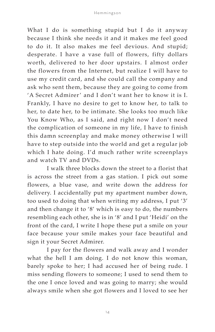What I do is something stupid but I do it anyway because I think she needs it and it makes me feel good to do it. It also makes me feel devious. And stupid; desperate. I have a vase full of flowers, fifty dollars worth, delivered to her door upstairs. I almost order the flowers from the Internet, but realize I will have to use my credit card, and she could call the company and ask who sent them, because they are going to come from 'A Secret Admirer' and I don't want her to know it is I. Frankly, I have no desire to get to know her, to talk to her, to date her, to be intimate. She looks too much like You Know Who, as I said, and right now I don't need the complication of someone in my life, I have to finish this damn screenplay and make money otherwise I will have to step outside into the world and get a regular job which I hate doing. I'd much rather write screenplays and watch TV and DVDs.

I walk three blocks down the street to a florist that is across the street from a gas station. I pick out some flowers, a blue vase, and write down the address for delivery. I accidentally put my apartment number down, too used to doing that when writing my address, I put '3' and then change it to '8' which is easy to do, the numbers resembling each other, she is in '8' and I put 'Heidi' on the front of the card, I write I hope these put a smile on your face because your smile makes your face beautiful and sign it your Secret Admirer.

I pay for the flowers and walk away and I wonder what the hell I am doing. I do not know this woman, barely spoke to her; I had accused her of being rude. I miss sending flowers to someone; I used to send them to the one I once loved and was going to marry; she would always smile when she got flowers and I loved to see her

 $\overline{14}$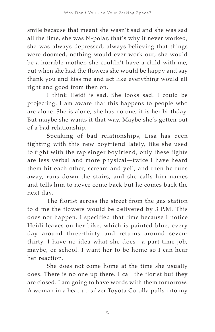smile because that meant she wasn't sad and she was sad all the time, she was bi-polar, that's why it never worked, she was always depressed, always believing that things were doomed, nothing would ever work out, she would be a horrible mother, she couldn't have a child with me, but when she had the flowers she would be happy and say thank you and kiss me and act like everything would all right and good from then on.

I think Heidi is sad. She looks sad. I could be projecting. I am aware that this happens to people who are alone. She is alone, she has no one, it is her birthday. But maybe she wants it that way. Maybe she's gotten out of a bad relationship.

Speaking of bad relationships, Lisa has been fighting with this new boyfriend lately, like she used to fight with the rap singer boyfriend, only these fights are less verbal and more physical-twice I have heard them hit each other, scream and yell, and then he runs away, runs down the stairs, and she calls him names and tells him to never come back but he comes back the next day.

The florist across the street from the gas station told me the flowers would be delivered by 3 P.M. This does not happen. I specified that time because I notice Heidi leaves on her bike, which is painted blue, every day around three-thirty and returns around seventhirty. I have no idea what she does—a part-time job, maybe, or school. I want her to be home so I can hear her reaction.

She does not come home at the time she usually does. There is no one up there. I call the florist but they are closed. I am going to have words with them tomorrow. A woman in a beat-up silver Toyota Corolla pulls into my

15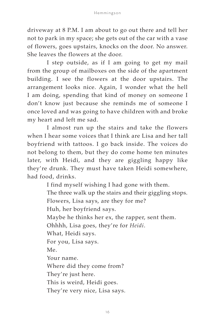driveway at 8 P.M. I am about to go out there and tell her not to park in my space; she gets out of the car with a vase of flowers, goes upstairs, knocks on the door. No answer. She leaves the flowers at the door.

I step outside, as if I am going to get my mail from the group of mailboxes on the side of the apartment building. I see the flowers at the door upstairs. The arrangement looks nice. Again, I wonder what the hell I am doing, spending that kind of money on someone I don't know just because she reminds me of someone I once loved and was going to have children with and broke my heart and left me sad.

I almost run up the stairs and take the flowers when I hear some voices that I think are Lisa and her tall boyfriend with tattoos. I go back inside. The voices do not belong to them, but they do come home ten minutes later, with Heidi, and they are giggling happy like they're drunk. They must have taken Heidi somewhere, had food, drinks.

> I find myself wishing I had gone with them. The three walk up the stairs and their giggling stops. Flowers, Lisa says, are they for me? Huh, her boyfriend says. Maybe he thinks her ex, the rapper, sent them. Ohhhh, Lisa goes, they're for Heidi. What, Heidi says. For you, Lisa says. Me. Your name. Where did they come from? They're just here. This is weird, Heidi goes. They're very nice, Lisa says.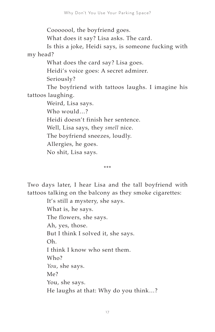Cooooool, the boyfriend goes. What does it say? Lisa asks. The card. Is this a joke, Heidi says, is someone fucking with my head? What does the card say? Lisa goes. Heidi's voice goes: A secret admirer. Seriously? The boyfriend with tattoos laughs. I imagine his tattoos laughing. Weird, Lisa says. Who would...? Heidi doesn't finish her sentence. Well, Lisa says, they smell nice.

The boyfriend sneezes, loudly.

Allergies, he goes.

No shit, Lisa says.

Two days later, I hear Lisa and the tall boyfriend with tattoos talking on the balcony as they smoke cigarettes:

 $***$ 

It's still a mystery, she says. What is, he says. The flowers, she says. Ah, yes, those. But I think I solved it, she says. Oh. I think I know who sent them. Who? You, she says. Me? You, she says. He laughs at that: Why do you think...?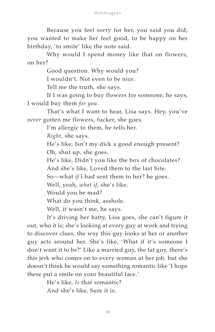Because you feel sorry for her, you said you did; you wanted to make her feel good, to be happy on her birthday, 'to smile' like the note said.

Why would I spend money like that on flowers, on her?

Good question. Why would you?

I wouldn't. Not even to be nice.

Tell me the truth, she says.

If I was going to buy flowers for someone, he says, I would buy them for you.

That's what I want to hear, Lisa says. Hey, you've never gotten me flowers, fucker, she goes.

I'm allergic to them, he tells her.

Right, she says.

He's like, Isn't my dick a good enough present? Oh, shut up, she goes.

He's like, Didn't you like the box of chocolates? And she's like, Loved them to the last bite.

So-what if I had sent them to her? he goes.

Well, yeah, what if, she's like.

Would you be mad?

What do you think, asshole.

Well, it wasn't me, he says.

It's driving her batty, Lisa goes, she can't figure it out, who it is; she's looking at every guy at work and trying to discover clues, the way this guy looks at her or another guy acts around her. She's like, 'What if it's someone I don't want it to be?' Like a married guy, the fat guy, there's this jerk who comes on to every woman at her job, but she doesn't think he would say something romantic like 'I hope these put a smile on your beautiful face.'

> He's like, Is that romantic? And she's like, Sure it is.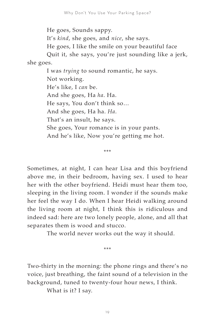He goes, Sounds sappy. It's kind, she goes, and nice, she says. He goes, I like the smile on your beautiful face Quit it, she says, you're just sounding like a jerk, she goes.

> I was trying to sound romantic, he says. Not working. He's like, I can be. And she goes, Ha ha. Ha. He says, You don't think so... And she goes, Ha ha. Ha. That's an insult, he says. She goes, Your romance is in your pants. And he's like, Now you're getting me hot.

> > $***$

Sometimes, at night, I can hear Lisa and this boyfriend above me, in their bedroom, having sex. I used to hear her with the other boyfriend. Heidi must hear them too, sleeping in the living room. I wonder if the sounds make her feel the way I do. When I hear Heidi walking around the living room at night, I think this is ridiculous and indeed sad: here are two lonely people, alone, and all that separates them is wood and stucco.

The world never works out the way it should.

 $***$ 

Two-thirty in the morning: the phone rings and there's no voice, just breathing, the faint sound of a television in the background, tuned to twenty-four hour news, I think.

What is it? I say.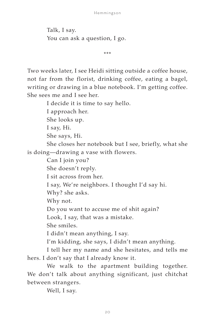Talk, I say. You can ask a question, I go.

 $***$ 

Two weeks later, I see Heidi sitting outside a coffee house, not far from the florist, drinking coffee, eating a bagel, writing or drawing in a blue notebook. I'm getting coffee. She sees me and I see her.

I decide it is time to say hello. I approach her. She looks up. I say, Hi. She says, Hi. She closes her notebook but I see, briefly, what she is doing—drawing a vase with flowers.

Can I join you?

She doesn't reply.

I sit across from her.

I say, We're neighbors. I thought I'd say hi.

Why? she asks.

Why not.

Do you want to accuse me of shit again?

Look, I say, that was a mistake.

She smiles.

I didn't mean anything, I say.

I'm kidding, she says, I didn't mean anything.

I tell her my name and she hesitates, and tells me hers. I don't say that I already know it.

We walk to the apartment building together. We don't talk about anything significant, just chitchat between strangers.

Well, I say.